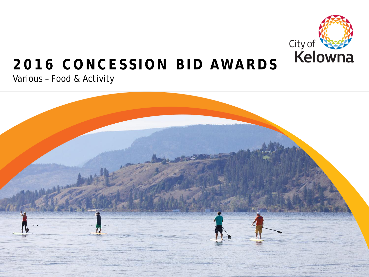

### **2016 CONCESSION BID AWARDS**

Various – Food & Activity

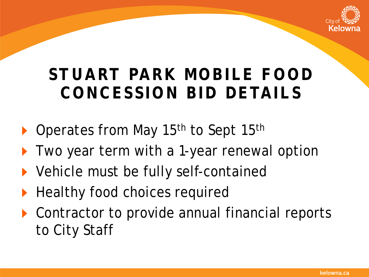

### **STUART PARK MOBILE FOOD CONCESSION BID DETAILS**

- ▶ Operates from May 15<sup>th</sup> to Sept 15<sup>th</sup>
- **Two year term with a 1-year renewal option**
- ▶ Vehicle must be fully self-contained
- Healthy food choices required
- ▶ Contractor to provide annual financial reports to City Staff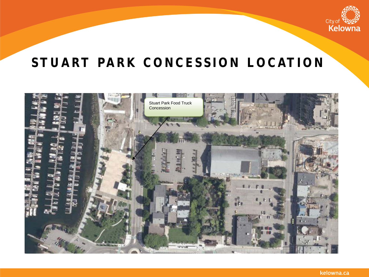

#### **STUART PARK CONCESSION LOCATION**

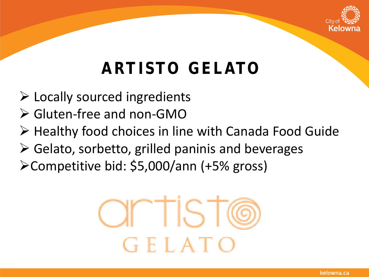

# **ARTISTO GELATO**

- Locally sourced ingredients
- Gluten-free and non-GMO
- ▶ Healthy food choices in line with Canada Food Guide
- $\triangleright$  Gelato, sorbetto, grilled paninis and beverages
- Competitive bid: \$5,000/ann (+5% gross)

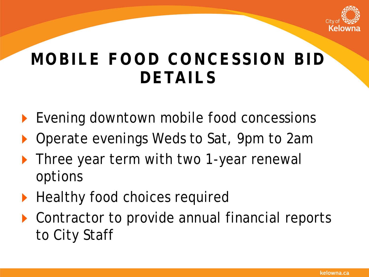

### **MOBILE FOOD CONCESSION BID DETAILS**

- ▶ Evening downtown mobile food concessions
- Operate evenings Weds to Sat, 9pm to 2am
- **Three year term with two 1-year renewall** options
- Healthy food choices required
- ▶ Contractor to provide annual financial reports to City Staff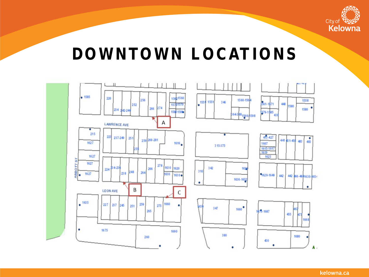

### **DOWNTOWN LOCATIONS**

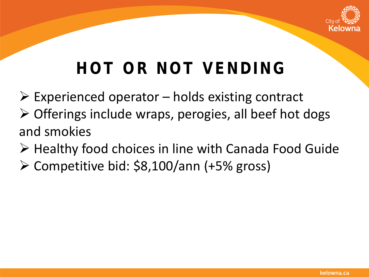

## **HOT OR NOT VENDING**

- $\triangleright$  Experienced operator holds existing contract  $\triangleright$  Offerings include wraps, perogies, all beef hot dogs and smokies
- $\triangleright$  Healthy food choices in line with Canada Food Guide
- $\triangleright$  Competitive bid: \$8,100/ann (+5% gross)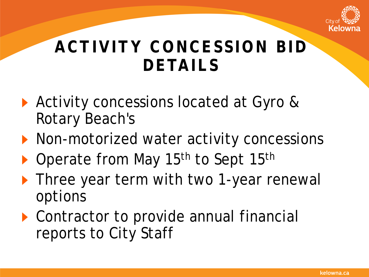

## **ACTIVITY CONCESSION BID DETAILS**

- ▶ Activity concessions located at Gyro & Rotary Beach's
- **Non-motorized water activity concessions**
- ▶ Operate from May 15<sup>th</sup> to Sept 15<sup>th</sup>
- **Fig. 1** Three year term with two 1-year renewal options
- ▶ Contractor to provide annual financial reports to City Staff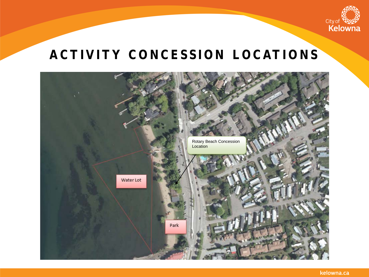

#### **ACTIVITY CONCESSION LOCATIONS**

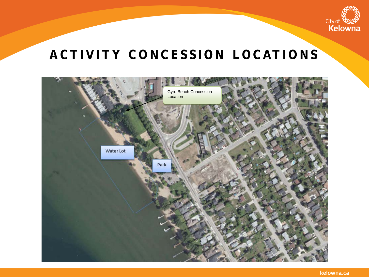

#### **ACTIVITY CONCESSION LOCATIONS**